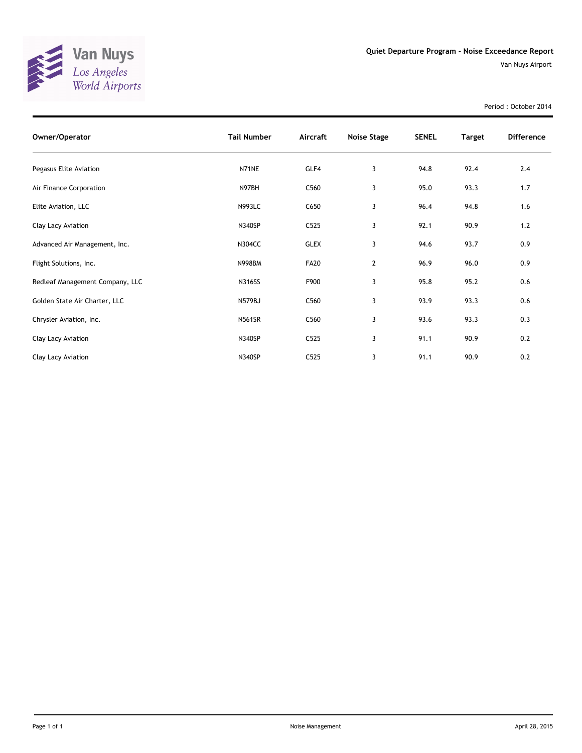

Period : October 2014

| Owner/Operator                  | <b>Tail Number</b> | Aircraft    | Noise Stage | <b>SENEL</b> | <b>Target</b> | <b>Difference</b> |
|---------------------------------|--------------------|-------------|-------------|--------------|---------------|-------------------|
| Pegasus Elite Aviation          | N71NE              | GLF4        | 3           | 94.8         | 92.4          | 2.4               |
| Air Finance Corporation         | N97BH              | C560        | 3           | 95.0         | 93.3          | 1.7               |
| Elite Aviation, LLC             | <b>N993LC</b>      | C650        | 3           | 96.4         | 94.8          | 1.6               |
| Clay Lacy Aviation              | N340SP             | C525        | 3           | 92.1         | 90.9          | 1.2               |
| Advanced Air Management, Inc.   | <b>N304CC</b>      | <b>GLEX</b> | 3           | 94.6         | 93.7          | 0.9               |
| Flight Solutions, Inc.          | <b>N998BM</b>      | <b>FA20</b> | 2           | 96.9         | 96.0          | 0.9               |
| Redleaf Management Company, LLC | <b>N316SS</b>      | F900        | 3           | 95.8         | 95.2          | 0.6               |
| Golden State Air Charter, LLC   | N579BJ             | C560        | 3           | 93.9         | 93.3          | 0.6               |
| Chrysler Aviation, Inc.         | <b>N561SR</b>      | C560        | 3           | 93.6         | 93.3          | 0.3               |
| Clay Lacy Aviation              | N340SP             | C525        | 3           | 91.1         | 90.9          | 0.2               |
| Clay Lacy Aviation              | N340SP             | C525        | 3           | 91.1         | 90.9          | 0.2               |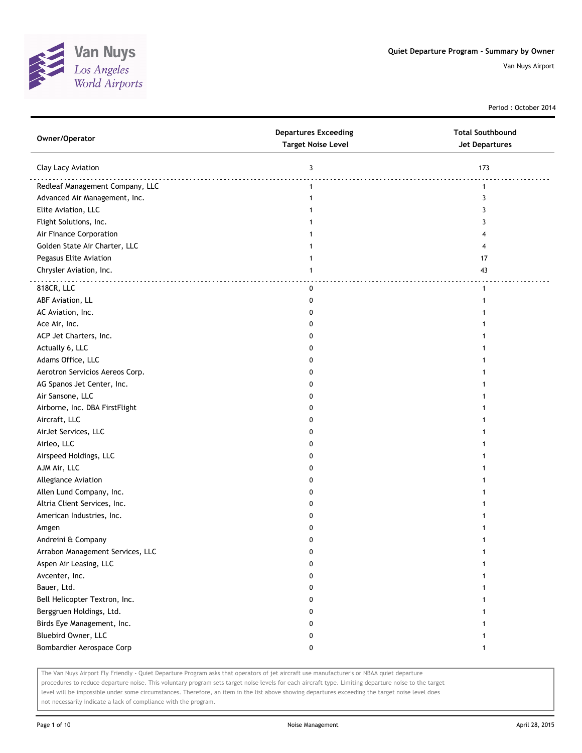

Period : October 2014

| Owner/Operator                   | <b>Departures Exceeding</b><br><b>Target Noise Level</b> | <b>Total Southbound</b><br><b>Jet Departures</b> |
|----------------------------------|----------------------------------------------------------|--------------------------------------------------|
| Clay Lacy Aviation               | 3                                                        | 173                                              |
| Redleaf Management Company, LLC  | $\mathbf{1}$                                             | $\mathbf{1}$                                     |
| Advanced Air Management, Inc.    | 1                                                        | 3                                                |
| Elite Aviation, LLC              |                                                          | 3                                                |
| Flight Solutions, Inc.           |                                                          | 3                                                |
| Air Finance Corporation          |                                                          | 4                                                |
| Golden State Air Charter, LLC    |                                                          | 4                                                |
| Pegasus Elite Aviation           |                                                          | 17                                               |
| Chrysler Aviation, Inc.          | $\mathbf{1}$                                             | 43                                               |
| 818CR, LLC                       | 0                                                        | $\mathbf{1}$                                     |
| ABF Aviation, LL                 | 0                                                        | $\mathbf{1}$                                     |
| AC Aviation, Inc.                | 0                                                        | 1                                                |
| Ace Air, Inc.                    | 0                                                        |                                                  |
| ACP Jet Charters, Inc.           | 0                                                        |                                                  |
| Actually 6, LLC                  | 0                                                        | 1                                                |
| Adams Office, LLC                | 0                                                        | 1                                                |
| Aerotron Servicios Aereos Corp.  | 0                                                        | 1                                                |
| AG Spanos Jet Center, Inc.       | 0                                                        |                                                  |
| Air Sansone, LLC                 | 0                                                        |                                                  |
| Airborne, Inc. DBA FirstFlight   | 0                                                        |                                                  |
| Aircraft, LLC                    | 0                                                        |                                                  |
| AirJet Services, LLC             | 0                                                        |                                                  |
| Airleo, LLC                      | 0                                                        |                                                  |
| Airspeed Holdings, LLC           | 0                                                        |                                                  |
| AJM Air, LLC                     | 0                                                        | 1                                                |
| Allegiance Aviation              | 0                                                        | 1                                                |
| Allen Lund Company, Inc.         | 0                                                        | 1                                                |
| Altria Client Services, Inc.     | 0                                                        | 1                                                |
| American Industries, Inc.        | 0                                                        |                                                  |
| Amgen                            | 0                                                        | 1                                                |
| Andreini & Company               | 0                                                        |                                                  |
| Arrabon Management Services, LLC | 0                                                        |                                                  |
| Aspen Air Leasing, LLC           | 0                                                        |                                                  |
| Avcenter, Inc.                   | 0                                                        | 1                                                |
| Bauer, Ltd.                      | 0                                                        | 1                                                |
| Bell Helicopter Textron, Inc.    | 0                                                        | 1                                                |
| Berggruen Holdings, Ltd.         | 0                                                        | 1                                                |
| Birds Eye Management, Inc.       | 0                                                        | $\mathbf{1}$                                     |
| Bluebird Owner, LLC              | 0                                                        | $\mathbf{1}$                                     |
| Bombardier Aerospace Corp        | 0                                                        | $\mathbf{1}$                                     |

The Van Nuys Airport Fly Friendly - Quiet Departure Program asks that operators of jet aircraft use manufacturer's or NBAA quiet departure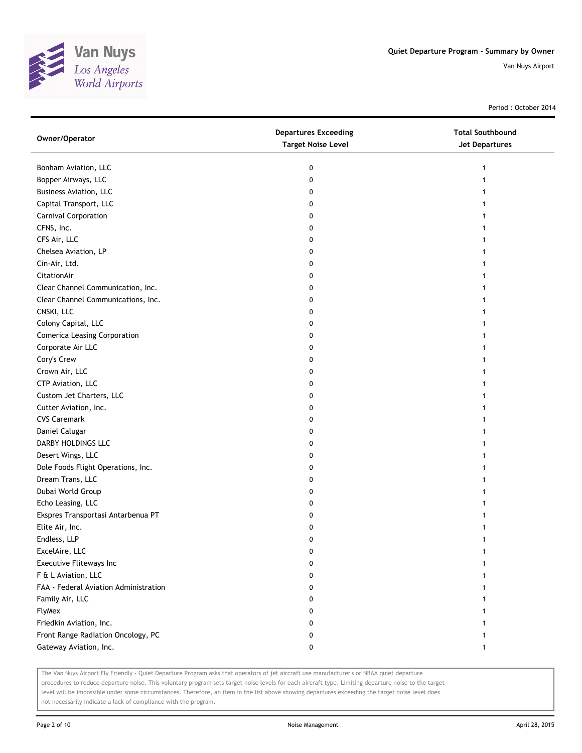

Period : October 2014

| Owner/Operator                        | <b>Departures Exceeding</b><br><b>Target Noise Level</b> | <b>Total Southbound</b><br><b>Jet Departures</b> |
|---------------------------------------|----------------------------------------------------------|--------------------------------------------------|
| Bonham Aviation, LLC                  | 0                                                        | 1                                                |
| Bopper Airways, LLC                   | 0                                                        |                                                  |
| <b>Business Aviation, LLC</b>         | 0                                                        |                                                  |
| Capital Transport, LLC                | 0                                                        |                                                  |
| Carnival Corporation                  | 0                                                        |                                                  |
| CFNS, Inc.                            | 0                                                        |                                                  |
| CFS Air, LLC                          | 0                                                        |                                                  |
| Chelsea Aviation, LP                  | 0                                                        |                                                  |
| Cin-Air, Ltd.                         | 0                                                        |                                                  |
| CitationAir                           | 0                                                        |                                                  |
| Clear Channel Communication, Inc.     | 0                                                        |                                                  |
| Clear Channel Communications, Inc.    | 0                                                        |                                                  |
| CNSKI, LLC                            | 0                                                        |                                                  |
| Colony Capital, LLC                   | 0                                                        |                                                  |
| <b>Comerica Leasing Corporation</b>   | 0                                                        |                                                  |
| Corporate Air LLC                     | 0                                                        |                                                  |
| Cory's Crew                           | 0                                                        |                                                  |
| Crown Air, LLC                        | 0                                                        |                                                  |
| CTP Aviation, LLC                     | 0                                                        |                                                  |
| Custom Jet Charters, LLC              | 0                                                        |                                                  |
| Cutter Aviation, Inc.                 | 0                                                        |                                                  |
| <b>CVS Caremark</b>                   | 0                                                        |                                                  |
| Daniel Calugar                        | 0                                                        |                                                  |
| DARBY HOLDINGS LLC                    | 0                                                        |                                                  |
| Desert Wings, LLC                     | 0                                                        |                                                  |
| Dole Foods Flight Operations, Inc.    | 0                                                        |                                                  |
| Dream Trans, LLC                      | 0                                                        |                                                  |
| Dubai World Group                     | 0                                                        |                                                  |
| Echo Leasing, LLC                     | 0                                                        |                                                  |
| Ekspres Transportasi Antarbenua PT    | 0                                                        |                                                  |
| Elite Air, Inc.                       | 0                                                        |                                                  |
| Endless, LLP                          | 0                                                        |                                                  |
| ExcelAire, LLC                        | 0                                                        |                                                  |
| Executive Fliteways Inc               | 0                                                        |                                                  |
| F & L Aviation, LLC                   | 0                                                        |                                                  |
| FAA - Federal Aviation Administration | 0                                                        |                                                  |
| Family Air, LLC                       | 0                                                        |                                                  |
| FlyMex                                | 0                                                        |                                                  |
| Friedkin Aviation, Inc.               | 0                                                        |                                                  |
| Front Range Radiation Oncology, PC    | 0                                                        |                                                  |
| Gateway Aviation, Inc.                | 0                                                        | 1                                                |
|                                       |                                                          |                                                  |

The Van Nuys Airport Fly Friendly - Quiet Departure Program asks that operators of jet aircraft use manufacturer's or NBAA quiet departure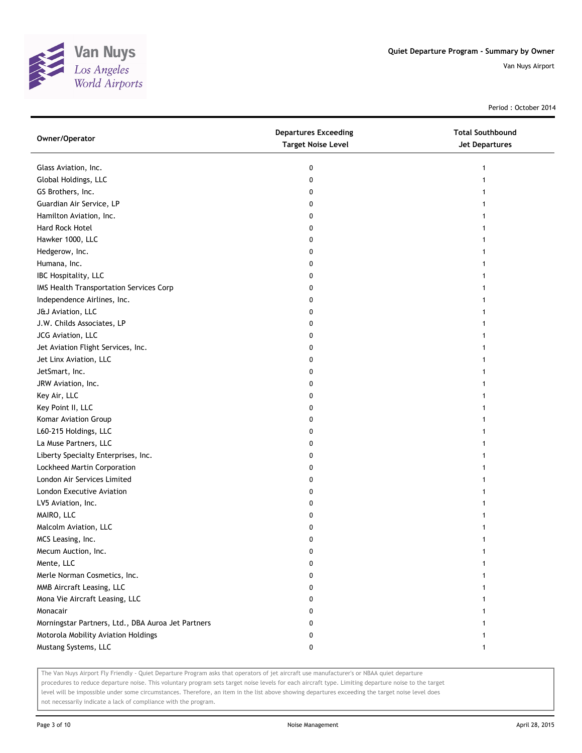

Period : October 2014

| Owner/Operator                                     | <b>Departures Exceeding</b><br><b>Target Noise Level</b> | <b>Total Southbound</b><br>Jet Departures |
|----------------------------------------------------|----------------------------------------------------------|-------------------------------------------|
| Glass Aviation, Inc.                               | 0                                                        | 1                                         |
| Global Holdings, LLC                               | 0                                                        |                                           |
| GS Brothers, Inc.                                  | 0                                                        |                                           |
| Guardian Air Service, LP                           | 0                                                        |                                           |
| Hamilton Aviation, Inc.                            | 0                                                        |                                           |
| Hard Rock Hotel                                    | 0                                                        |                                           |
| Hawker 1000, LLC                                   | 0                                                        |                                           |
| Hedgerow, Inc.                                     | 0                                                        |                                           |
| Humana, Inc.                                       | 0                                                        |                                           |
| IBC Hospitality, LLC                               | 0                                                        |                                           |
| IMS Health Transportation Services Corp            | 0                                                        |                                           |
| Independence Airlines, Inc.                        | 0                                                        |                                           |
| J&J Aviation, LLC                                  | 0                                                        |                                           |
| J.W. Childs Associates, LP                         | 0                                                        |                                           |
| JCG Aviation, LLC                                  | 0                                                        |                                           |
| Jet Aviation Flight Services, Inc.                 | 0                                                        |                                           |
| Jet Linx Aviation, LLC                             | 0                                                        | 1                                         |
| JetSmart, Inc.                                     | 0                                                        |                                           |
| JRW Aviation, Inc.                                 | 0                                                        |                                           |
| Key Air, LLC                                       | 0                                                        |                                           |
| Key Point II, LLC                                  | 0                                                        |                                           |
| Komar Aviation Group                               | 0                                                        |                                           |
| L60-215 Holdings, LLC                              | 0                                                        |                                           |
| La Muse Partners, LLC                              | 0                                                        |                                           |
| Liberty Specialty Enterprises, Inc.                | 0                                                        |                                           |
| Lockheed Martin Corporation                        | 0                                                        |                                           |
| London Air Services Limited                        | 0                                                        |                                           |
| London Executive Aviation                          | 0                                                        |                                           |
| LV5 Aviation, Inc.                                 | 0                                                        |                                           |
| MAIRO, LLC                                         | 0                                                        |                                           |
| Malcolm Aviation, LLC                              | 0                                                        |                                           |
| MCS Leasing, Inc.                                  | 0                                                        |                                           |
| Mecum Auction, Inc.                                | 0                                                        |                                           |
| Mente, LLC                                         | 0                                                        |                                           |
| Merle Norman Cosmetics, Inc.                       | 0                                                        |                                           |
| MMB Aircraft Leasing, LLC                          | 0                                                        |                                           |
| Mona Vie Aircraft Leasing, LLC                     | 0                                                        |                                           |
| Monacair                                           | 0                                                        |                                           |
| Morningstar Partners, Ltd., DBA Auroa Jet Partners | 0                                                        |                                           |
| Motorola Mobility Aviation Holdings                | 0                                                        |                                           |
| Mustang Systems, LLC                               | 0                                                        | 1                                         |

The Van Nuys Airport Fly Friendly - Quiet Departure Program asks that operators of jet aircraft use manufacturer's or NBAA quiet departure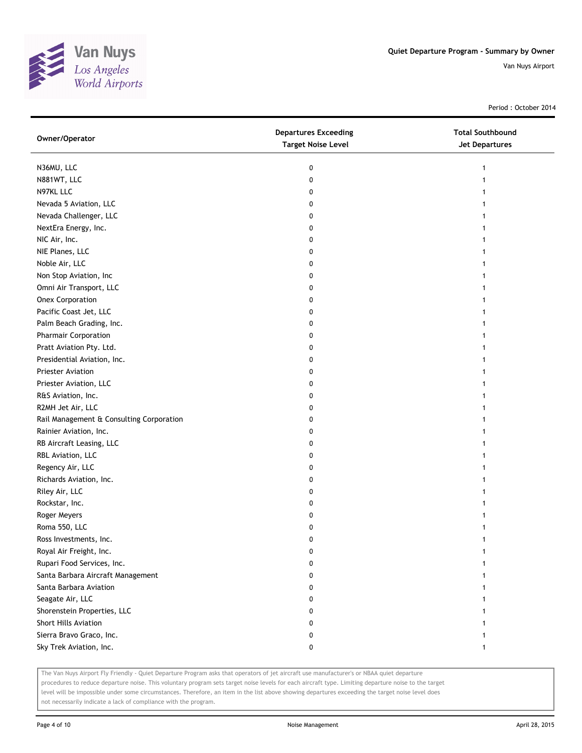

Period : October 2014

| Owner/Operator                           | <b>Departures Exceeding</b><br><b>Target Noise Level</b> | <b>Total Southbound</b><br>Jet Departures |
|------------------------------------------|----------------------------------------------------------|-------------------------------------------|
| N36MU, LLC                               | 0                                                        | 1                                         |
| N881WT, LLC                              | 0                                                        |                                           |
| N97KL LLC                                | 0                                                        |                                           |
| Nevada 5 Aviation, LLC                   | 0                                                        |                                           |
| Nevada Challenger, LLC                   | 0                                                        |                                           |
| NextEra Energy, Inc.                     | 0                                                        | 1                                         |
| NIC Air, Inc.                            | 0                                                        | 1                                         |
| NIE Planes, LLC                          | 0                                                        |                                           |
| Noble Air, LLC                           | 0                                                        |                                           |
| Non Stop Aviation, Inc                   | 0                                                        |                                           |
| Omni Air Transport, LLC                  | 0                                                        |                                           |
| <b>Onex Corporation</b>                  | 0                                                        |                                           |
| Pacific Coast Jet, LLC                   | 0                                                        |                                           |
| Palm Beach Grading, Inc.                 | 0                                                        |                                           |
| Pharmair Corporation                     | 0                                                        |                                           |
| Pratt Aviation Pty. Ltd.                 | 0                                                        |                                           |
| Presidential Aviation, Inc.              | 0                                                        |                                           |
| <b>Priester Aviation</b>                 | 0                                                        |                                           |
| Priester Aviation, LLC                   | 0                                                        |                                           |
| R&S Aviation, Inc.                       | 0                                                        |                                           |
| R2MH Jet Air, LLC                        | 0                                                        |                                           |
| Rail Management & Consulting Corporation | 0                                                        |                                           |
| Rainier Aviation, Inc.                   | 0                                                        |                                           |
| RB Aircraft Leasing, LLC                 | 0                                                        |                                           |
| RBL Aviation, LLC                        | 0                                                        | 1                                         |
| Regency Air, LLC                         | 0                                                        | 1                                         |
| Richards Aviation, Inc.                  | 0                                                        | 1                                         |
| Riley Air, LLC                           | 0                                                        |                                           |
| Rockstar, Inc.                           | 0                                                        |                                           |
| Roger Meyers                             | 0                                                        |                                           |
| Roma 550, LLC                            | 0                                                        |                                           |
| Ross Investments, Inc.                   | 0                                                        |                                           |
| Royal Air Freight, Inc.                  | 0                                                        |                                           |
| Rupari Food Services, Inc.               | 0                                                        |                                           |
| Santa Barbara Aircraft Management        | 0                                                        |                                           |
| Santa Barbara Aviation                   | 0                                                        |                                           |
| Seagate Air, LLC                         | 0                                                        |                                           |
| Shorenstein Properties, LLC              | 0                                                        |                                           |
| Short Hills Aviation                     | 0                                                        |                                           |
| Sierra Bravo Graco, Inc.                 | 0                                                        |                                           |
| Sky Trek Aviation, Inc.                  | 0                                                        | $\mathbf{1}$                              |

The Van Nuys Airport Fly Friendly - Quiet Departure Program asks that operators of jet aircraft use manufacturer's or NBAA quiet departure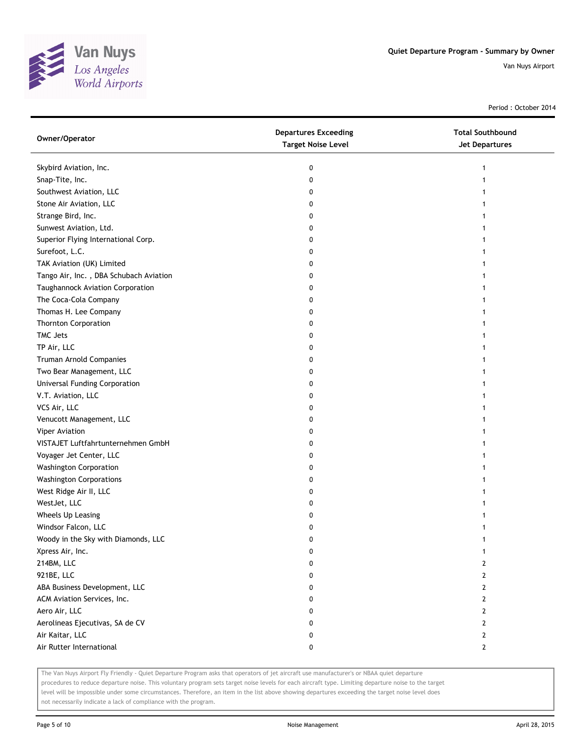

Period : October 2014

| Owner/Operator                         | <b>Departures Exceeding</b><br><b>Target Noise Level</b> | <b>Total Southbound</b><br><b>Jet Departures</b> |
|----------------------------------------|----------------------------------------------------------|--------------------------------------------------|
| Skybird Aviation, Inc.                 | 0                                                        |                                                  |
| Snap-Tite, Inc.                        | 0                                                        |                                                  |
| Southwest Aviation, LLC                | 0                                                        |                                                  |
| Stone Air Aviation, LLC                | 0                                                        |                                                  |
| Strange Bird, Inc.                     | 0                                                        |                                                  |
| Sunwest Aviation, Ltd.                 | 0                                                        |                                                  |
| Superior Flying International Corp.    | 0                                                        |                                                  |
| Surefoot, L.C.                         | 0                                                        |                                                  |
| TAK Aviation (UK) Limited              | 0                                                        |                                                  |
| Tango Air, Inc., DBA Schubach Aviation | 0                                                        |                                                  |
| Taughannock Aviation Corporation       | 0                                                        |                                                  |
| The Coca-Cola Company                  | 0                                                        |                                                  |
| Thomas H. Lee Company                  | 0                                                        |                                                  |
| <b>Thornton Corporation</b>            | 0                                                        |                                                  |
| TMC Jets                               | 0                                                        |                                                  |
| TP Air, LLC                            | 0                                                        |                                                  |
| Truman Arnold Companies                | 0                                                        |                                                  |
| Two Bear Management, LLC               | 0                                                        |                                                  |
| Universal Funding Corporation          | 0                                                        |                                                  |
| V.T. Aviation, LLC                     | 0                                                        |                                                  |
| VCS Air, LLC                           | 0                                                        |                                                  |
| Venucott Management, LLC               | 0                                                        |                                                  |
| <b>Viper Aviation</b>                  | 0                                                        |                                                  |
| VISTAJET Luftfahrtunternehmen GmbH     | 0                                                        |                                                  |
| Voyager Jet Center, LLC                | 0                                                        |                                                  |
| <b>Washington Corporation</b>          | 0                                                        |                                                  |
| <b>Washington Corporations</b>         | 0                                                        |                                                  |
| West Ridge Air II, LLC                 | 0                                                        |                                                  |
| WestJet, LLC                           | 0                                                        |                                                  |
| Wheels Up Leasing                      | 0                                                        |                                                  |
| Windsor Falcon, LLC                    | 0                                                        |                                                  |
| Woody in the Sky with Diamonds, LLC    | 0                                                        |                                                  |
| Xpress Air, Inc.                       | 0                                                        | 1                                                |
| 214BM, LLC                             | 0                                                        | 2                                                |
| 921BE, LLC                             | 0                                                        | 2                                                |
| ABA Business Development, LLC          | 0                                                        | 2                                                |
| ACM Aviation Services, Inc.            | 0                                                        | $\mathbf{2}$                                     |
| Aero Air, LLC                          | 0                                                        | 2                                                |
| Aerolineas Ejecutivas, SA de CV        | 0                                                        | 2                                                |
| Air Kaitar, LLC                        | 0                                                        | $\mathbf{2}$                                     |
| Air Rutter International               | 0                                                        | $\mathbf{2}$                                     |

The Van Nuys Airport Fly Friendly - Quiet Departure Program asks that operators of jet aircraft use manufacturer's or NBAA quiet departure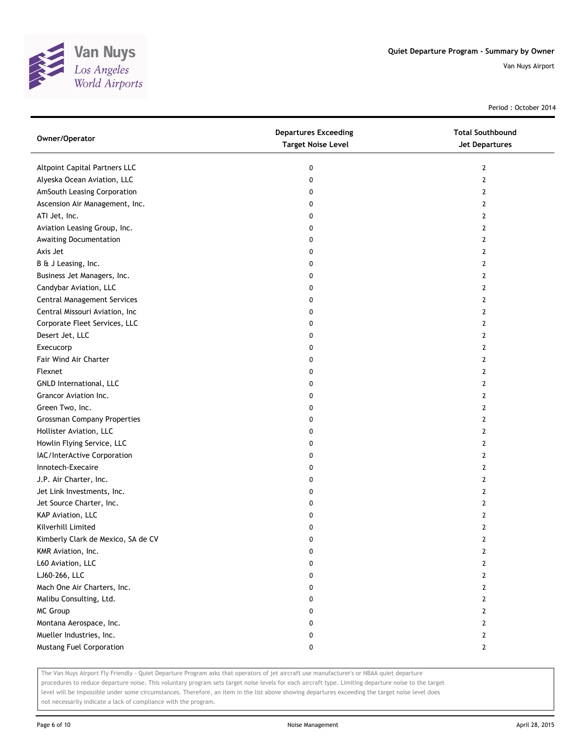

Period : October 2014

| Owner/Operator                     | <b>Departures Exceeding</b><br><b>Target Noise Level</b> | <b>Total Southbound</b><br>Jet Departures |
|------------------------------------|----------------------------------------------------------|-------------------------------------------|
| Altpoint Capital Partners LLC      | 0                                                        | $\mathbf{2}$                              |
| Alyeska Ocean Aviation, LLC        | 0                                                        | $\mathbf{2}$                              |
| AmSouth Leasing Corporation        | 0                                                        | 2                                         |
| Ascension Air Management, Inc.     | 0                                                        | 2                                         |
| ATI Jet, Inc.                      | 0                                                        | 2                                         |
| Aviation Leasing Group, Inc.       | 0                                                        | 2                                         |
| Awaiting Documentation             | 0                                                        | 2                                         |
| Axis Jet                           | 0                                                        | 2                                         |
| B & J Leasing, Inc.                | 0                                                        | $\overline{2}$                            |
| Business Jet Managers, Inc.        | 0                                                        | $\overline{2}$                            |
| Candybar Aviation, LLC             | 0                                                        | $\overline{2}$                            |
| <b>Central Management Services</b> | 0                                                        | $\overline{2}$                            |
| Central Missouri Aviation, Inc     | 0                                                        | 2                                         |
| Corporate Fleet Services, LLC      | 0                                                        | 2                                         |
| Desert Jet, LLC                    | 0                                                        | $\overline{2}$                            |
| Execucorp                          | 0                                                        | 2                                         |
| Fair Wind Air Charter              | 0                                                        | 2                                         |
| Flexnet                            | 0                                                        | 2                                         |
| GNLD International, LLC            | 0                                                        | 2                                         |
| Grancor Aviation Inc.              | 0                                                        | $\overline{2}$                            |
| Green Two, Inc.                    | 0                                                        | $\overline{2}$                            |
| <b>Grossman Company Properties</b> | 0                                                        | $\overline{2}$                            |
| Hollister Aviation, LLC            | 0                                                        | 2                                         |
| Howlin Flying Service, LLC         | 0                                                        | 2                                         |
| IAC/InterActive Corporation        | 0                                                        | 2                                         |
| Innotech-Execaire                  | 0                                                        | 2                                         |
| J.P. Air Charter, Inc.             | 0                                                        | 2                                         |
| Jet Link Investments, Inc.         | 0                                                        | 2                                         |
| Jet Source Charter, Inc.           | 0                                                        | 2                                         |
| KAP Aviation, LLC                  | 0                                                        | $\overline{2}$                            |
| Kilverhill Limited                 | 0                                                        | $\overline{2}$                            |
| Kimberly Clark de Mexico, SA de CV | 0                                                        | $\overline{2}$                            |
| KMR Aviation, Inc.                 | 0                                                        | 2                                         |
| L60 Aviation, LLC                  | 0                                                        | 2                                         |
| LJ60-266, LLC                      | 0                                                        | $\overline{2}$                            |
| Mach One Air Charters, Inc.        | 0                                                        | $\mathbf{2}$                              |
| Malibu Consulting, Ltd.            | 0                                                        | $\mathbf{2}$                              |
| <b>MC Group</b>                    | 0                                                        | $\mathbf{2}$                              |
| Montana Aerospace, Inc.            | 0                                                        | $\mathbf{2}$                              |
| Mueller Industries, Inc.           | 0                                                        | $\mathbf{2}$                              |
| Mustang Fuel Corporation           | 0                                                        | $\mathbf{2}$                              |

The Van Nuys Airport Fly Friendly - Quiet Departure Program asks that operators of jet aircraft use manufacturer's or NBAA quiet departure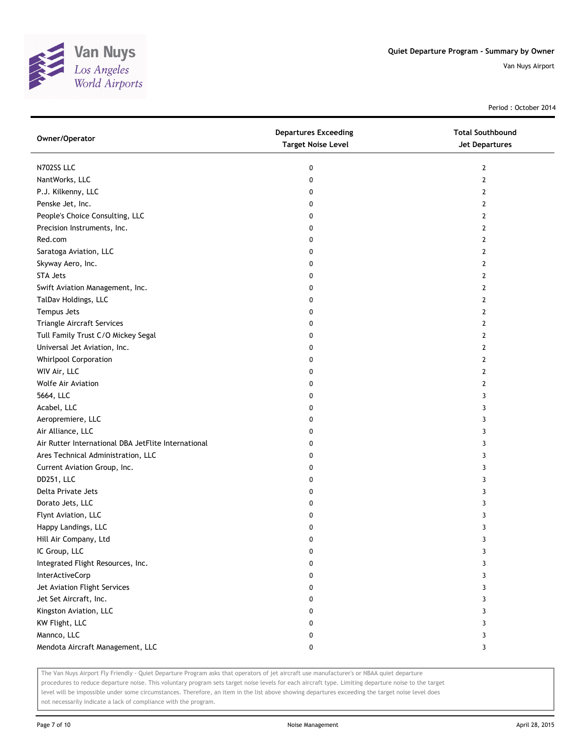

Period : October 2014

| Owner/Operator                                      | <b>Departures Exceeding</b><br><b>Target Noise Level</b> | <b>Total Southbound</b><br><b>Jet Departures</b> |
|-----------------------------------------------------|----------------------------------------------------------|--------------------------------------------------|
| N702SS LLC                                          | 0                                                        | 2                                                |
| NantWorks, LLC                                      | 0                                                        | $\overline{2}$                                   |
| P.J. Kilkenny, LLC                                  | 0                                                        | 2                                                |
| Penske Jet, Inc.                                    | 0                                                        | 2                                                |
| People's Choice Consulting, LLC                     | 0                                                        | $\overline{2}$                                   |
| Precision Instruments, Inc.                         | 0                                                        | $\overline{2}$                                   |
| Red.com                                             | 0                                                        | 2                                                |
| Saratoga Aviation, LLC                              | 0                                                        | $\overline{2}$                                   |
| Skyway Aero, Inc.                                   | 0                                                        | 2                                                |
| <b>STA Jets</b>                                     | 0                                                        | $\mathbf{2}$                                     |
| Swift Aviation Management, Inc.                     | 0                                                        | 2                                                |
| TalDav Holdings, LLC                                | 0                                                        | 2                                                |
| Tempus Jets                                         | 0                                                        | 2                                                |
| Triangle Aircraft Services                          | 0                                                        | 2                                                |
| Tull Family Trust C/O Mickey Segal                  | 0                                                        | $\mathbf{2}$                                     |
| Universal Jet Aviation, Inc.                        | 0                                                        | $\overline{2}$                                   |
| Whirlpool Corporation                               | 0                                                        | 2                                                |
| WIV Air, LLC                                        | 0                                                        | $\overline{2}$                                   |
| <b>Wolfe Air Aviation</b>                           | 0                                                        | 2                                                |
| 5664, LLC                                           | 0                                                        | 3                                                |
| Acabel, LLC                                         | 0                                                        | 3                                                |
| Aeropremiere, LLC                                   | 0                                                        | 3                                                |
| Air Alliance, LLC                                   | 0                                                        | 3                                                |
| Air Rutter International DBA JetFlite International | 0                                                        | 3                                                |
| Ares Technical Administration, LLC                  | 0                                                        | 3                                                |
| Current Aviation Group, Inc.                        | 0                                                        | 3                                                |
| DD251, LLC                                          | 0                                                        | 3                                                |
| Delta Private Jets                                  | 0                                                        | 3                                                |
| Dorato Jets, LLC                                    | 0                                                        | 3                                                |
| Flynt Aviation, LLC                                 | 0                                                        | 3                                                |
| Happy Landings, LLC                                 | 0                                                        | 3                                                |
| Hill Air Company, Ltd                               | 0                                                        | 3                                                |
| IC Group, LLC                                       | 0                                                        | 3                                                |
| Integrated Flight Resources, Inc.                   | 0                                                        | 3                                                |
| InterActiveCorp                                     | 0                                                        | 3                                                |
| Jet Aviation Flight Services                        | 0                                                        | 3                                                |
| Jet Set Aircraft, Inc.                              | 0                                                        | 3                                                |
| Kingston Aviation, LLC                              | 0                                                        | 3                                                |
| KW Flight, LLC                                      | 0                                                        | 3                                                |
| Mannco, LLC                                         | 0                                                        | 3                                                |
| Mendota Aircraft Management, LLC                    | 0                                                        | 3                                                |

The Van Nuys Airport Fly Friendly - Quiet Departure Program asks that operators of jet aircraft use manufacturer's or NBAA quiet departure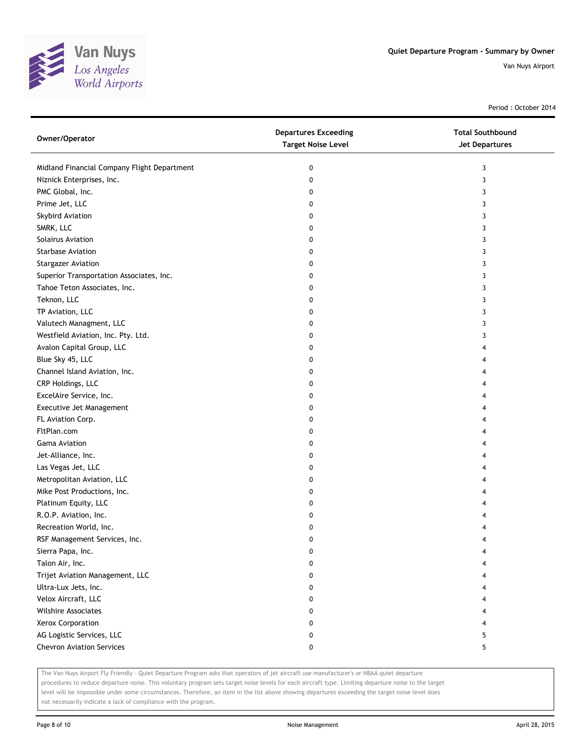

Period : October 2014

| Owner/Operator                              | <b>Departures Exceeding</b><br><b>Target Noise Level</b> | <b>Total Southbound</b><br>Jet Departures |
|---------------------------------------------|----------------------------------------------------------|-------------------------------------------|
| Midland Financial Company Flight Department | 0                                                        | 3                                         |
| Niznick Enterprises, Inc.                   | 0                                                        | 3                                         |
| PMC Global, Inc.                            | 0                                                        | 3                                         |
| Prime Jet, LLC                              | 0                                                        | 3                                         |
| Skybird Aviation                            | 0                                                        | 3                                         |
| SMRK, LLC                                   | 0                                                        | 3                                         |
| Solairus Aviation                           | 0                                                        | 3                                         |
| <b>Starbase Aviation</b>                    | 0                                                        | 3                                         |
| <b>Stargazer Aviation</b>                   | 0                                                        | 3                                         |
| Superior Transportation Associates, Inc.    | 0                                                        | 3                                         |
| Tahoe Teton Associates, Inc.                | 0                                                        | 3                                         |
| Teknon, LLC                                 | 0                                                        | 3                                         |
| TP Aviation, LLC                            | 0                                                        | 3                                         |
| Valutech Managment, LLC                     | 0                                                        | 3                                         |
| Westfield Aviation, Inc. Pty. Ltd.          | 0                                                        | 3                                         |
| Avalon Capital Group, LLC                   | 0                                                        | 4                                         |
| Blue Sky 45, LLC                            | 0                                                        | 4                                         |
| Channel Island Aviation, Inc.               | 0                                                        | 4                                         |
| CRP Holdings, LLC                           | 0                                                        | 4                                         |
| ExcelAire Service, Inc.                     | 0                                                        | 4                                         |
| Executive Jet Management                    | 0                                                        | 4                                         |
| FL Aviation Corp.                           | 0                                                        | 4                                         |
| FltPlan.com                                 | 0                                                        | 4                                         |
| <b>Gama Aviation</b>                        | 0                                                        | 4                                         |
| Jet-Alliance, Inc.                          | 0                                                        | 4                                         |
| Las Vegas Jet, LLC                          | 0                                                        | 4                                         |
| Metropolitan Aviation, LLC                  | 0                                                        | 4                                         |
| Mike Post Productions, Inc.                 | 0                                                        | 4                                         |
| Platinum Equity, LLC                        | 0                                                        | 4                                         |
| R.O.P. Aviation, Inc.                       | 0                                                        |                                           |
| Recreation World, Inc.                      | 0                                                        |                                           |
| RSF Management Services, Inc.               | 0                                                        | 4                                         |
| Sierra Papa, Inc.                           | 0                                                        |                                           |
| Talon Air, Inc.                             | 0                                                        |                                           |
| Trijet Aviation Management, LLC             | 0                                                        |                                           |
| Ultra-Lux Jets, Inc.                        | 0                                                        |                                           |
| Velox Aircraft, LLC                         | 0                                                        | 4                                         |
| <b>Wilshire Associates</b>                  | 0                                                        |                                           |
| Xerox Corporation                           | 0                                                        |                                           |
| AG Logistic Services, LLC                   | 0                                                        | 5                                         |
| <b>Chevron Aviation Services</b>            | 0                                                        | 5                                         |

The Van Nuys Airport Fly Friendly - Quiet Departure Program asks that operators of jet aircraft use manufacturer's or NBAA quiet departure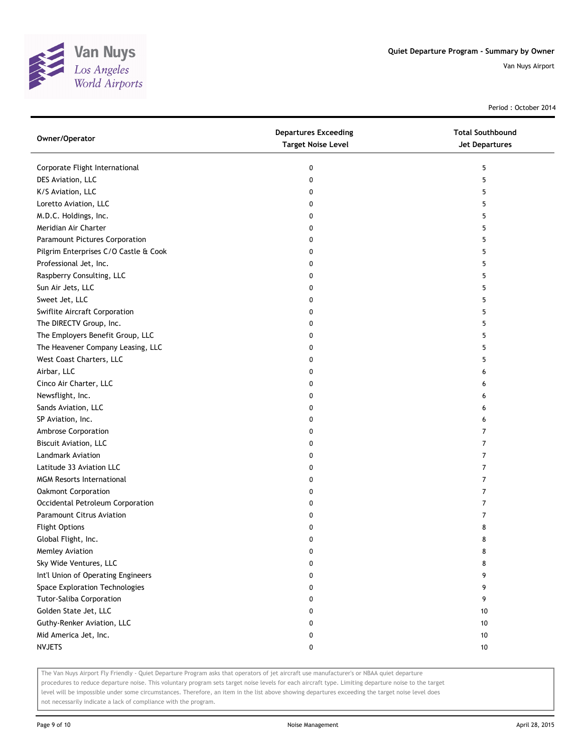

Period : October 2014

| Owner/Operator                        | <b>Departures Exceeding</b><br><b>Target Noise Level</b> | <b>Total Southbound</b><br><b>Jet Departures</b> |
|---------------------------------------|----------------------------------------------------------|--------------------------------------------------|
| Corporate Flight International        | 0                                                        | 5                                                |
| DES Aviation, LLC                     | 0                                                        | 5                                                |
| K/S Aviation, LLC                     | 0                                                        | 5                                                |
| Loretto Aviation, LLC                 | 0                                                        | 5                                                |
| M.D.C. Holdings, Inc.                 | 0                                                        | 5                                                |
| Meridian Air Charter                  | 0                                                        | 5                                                |
| Paramount Pictures Corporation        | 0                                                        | 5                                                |
| Pilgrim Enterprises C/O Castle & Cook | 0                                                        | 5                                                |
| Professional Jet, Inc.                | 0                                                        | 5                                                |
| Raspberry Consulting, LLC             | 0                                                        | 5                                                |
| Sun Air Jets, LLC                     | 0                                                        | 5                                                |
| Sweet Jet, LLC                        | 0                                                        | 5                                                |
| Swiflite Aircraft Corporation         | 0                                                        | 5                                                |
| The DIRECTV Group, Inc.               | 0                                                        | 5                                                |
| The Employers Benefit Group, LLC      | 0                                                        | 5                                                |
| The Heavener Company Leasing, LLC     | 0                                                        | 5                                                |
| West Coast Charters, LLC              | 0                                                        | 5                                                |
| Airbar, LLC                           | 0                                                        | 6                                                |
| Cinco Air Charter, LLC                | 0                                                        | 6                                                |
| Newsflight, Inc.                      | 0                                                        | 6                                                |
| Sands Aviation, LLC                   | 0                                                        | 6                                                |
| SP Aviation, Inc.                     | 0                                                        | 6                                                |
| Ambrose Corporation                   | 0                                                        | 7                                                |
| Biscuit Aviation, LLC                 | 0                                                        | 7                                                |
| Landmark Aviation                     | 0                                                        | 7                                                |
| Latitude 33 Aviation LLC              | 0                                                        | 7                                                |
| <b>MGM Resorts International</b>      | 0                                                        | 7                                                |
| Oakmont Corporation                   | 0                                                        | 7                                                |
| Occidental Petroleum Corporation      | 0                                                        | $\overline{7}$                                   |
| Paramount Citrus Aviation             | 0                                                        | 7                                                |
| <b>Flight Options</b>                 | 0                                                        | 8                                                |
| Global Flight, Inc.                   | 0                                                        | 8                                                |
| Memley Aviation                       | 0                                                        | 8                                                |
| Sky Wide Ventures, LLC                | 0                                                        | 8                                                |
| Int'l Union of Operating Engineers    | 0                                                        | 9                                                |
| Space Exploration Technologies        | 0                                                        | 9                                                |
| <b>Tutor-Saliba Corporation</b>       | 0                                                        | 9                                                |
| Golden State Jet, LLC                 | 0                                                        | 10                                               |
| Guthy-Renker Aviation, LLC            | 0                                                        | 10                                               |
| Mid America Jet, Inc.                 | 0                                                        | 10                                               |
| <b>NVJETS</b>                         | 0                                                        | $10\,$                                           |

The Van Nuys Airport Fly Friendly - Quiet Departure Program asks that operators of jet aircraft use manufacturer's or NBAA quiet departure